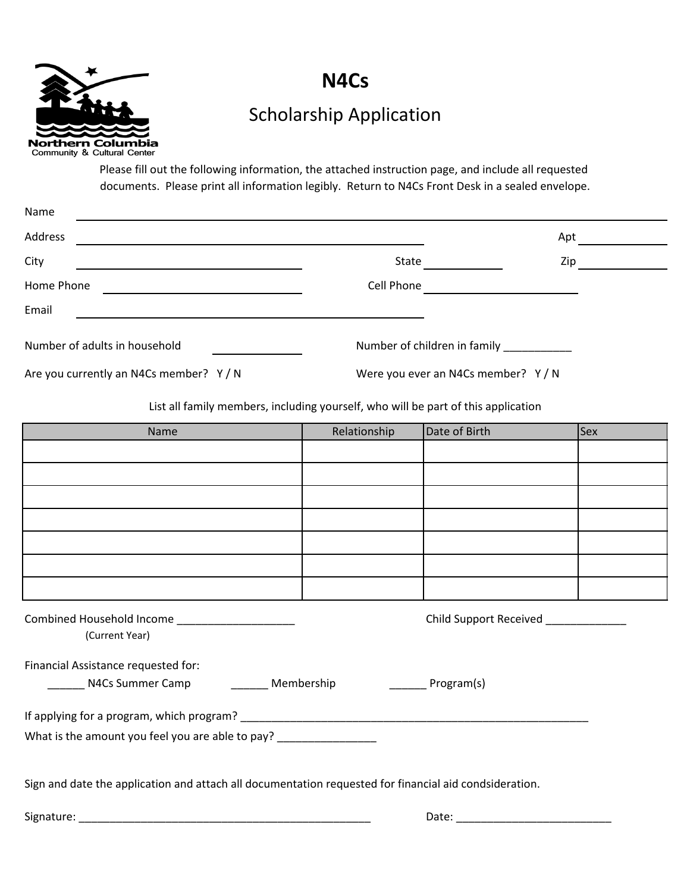

## **N4Cs**

## Scholarship Application

Please fill out the following information, the attached instruction page, and include all requested documents. Please print all information legibly. Return to N4Cs Front Desk in a sealed envelope.

| Name                                                                                                                                |                                   |     |  |
|-------------------------------------------------------------------------------------------------------------------------------------|-----------------------------------|-----|--|
| Address                                                                                                                             |                                   | Apt |  |
| City                                                                                                                                | State                             | Zip |  |
| Home Phone<br><u> 1980 - John Harry Harry Harry Harry Harry Harry Harry Harry Harry Harry Harry Harry Harry Harry Harry Harry H</u> | Cell Phone                        |     |  |
| Email                                                                                                                               |                                   |     |  |
| Number of adults in household                                                                                                       | Number of children in family      |     |  |
| Are you currently an N4Cs member? Y/N                                                                                               | Were you ever an N4Cs member? Y/N |     |  |

List all family members, including yourself, who will be part of this application

| Name                                                                                                   | Relationship                | Date of Birth                       | <b>Sex</b> |
|--------------------------------------------------------------------------------------------------------|-----------------------------|-------------------------------------|------------|
|                                                                                                        |                             |                                     |            |
|                                                                                                        |                             |                                     |            |
|                                                                                                        |                             |                                     |            |
|                                                                                                        |                             |                                     |            |
|                                                                                                        |                             |                                     |            |
|                                                                                                        |                             |                                     |            |
|                                                                                                        |                             |                                     |            |
| Combined Household Income _______________________<br>(Current Year)                                    |                             | Child Support Received ____________ |            |
| Financial Assistance requested for:                                                                    |                             |                                     |            |
| _________ N4Cs Summer Camp ___________ Membership                                                      | <b>Example 2</b> Program(s) |                                     |            |
|                                                                                                        |                             |                                     |            |
| What is the amount you feel you are able to pay? _______________________________                       |                             |                                     |            |
|                                                                                                        |                             |                                     |            |
| Sign and date the application and attach all documentation requested for financial aid condsideration. |                             |                                     |            |
|                                                                                                        |                             |                                     |            |
|                                                                                                        |                             |                                     |            |